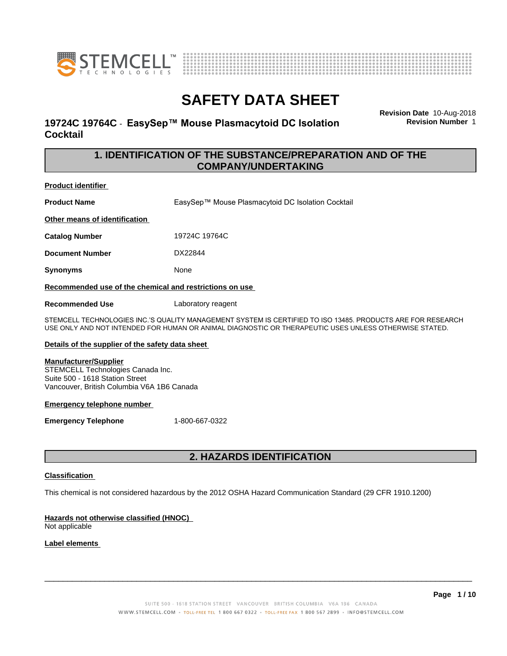



## **19724C 19764C - EasySep™ Mouse Plasmacytoid DC Isolation Cocktail**

**Revision Date** 10-Aug-2018 **Revision Number** 1

## **1. IDENTIFICATION OF THE SUBSTANCE/PREPARATION AND OF THE COMPANY/UNDERTAKING**

### **Product identifier**

**Product Name** EasySep™ Mouse Plasmacytoid DC Isolation Cocktail

**Other means of identification**

**Catalog Number** 19724C 19764C

**Document Number** DX22844

**Synonyms** None

**Recommended use of the chemical and restrictions on use**

**Recommended Use** Laboratory reagent

STEMCELL TECHNOLOGIES INC.'S QUALITY MANAGEMENT SYSTEM IS CERTIFIED TO ISO 13485. PRODUCTS ARE FOR RESEARCH USE ONLY AND NOT INTENDED FOR HUMAN OR ANIMAL DIAGNOSTIC OR THERAPEUTIC USES UNLESS OTHERWISE STATED.

### **Details of the supplier of the safety data sheet**

### **Manufacturer/Supplier**

STEMCELL Technologies Canada Inc. Suite 500 - 1618 Station Street Vancouver, British Columbia V6A 1B6 Canada

### **Emergency telephone number**

**Emergency Telephone** 1-800-667-0322

## **2. HAZARDS IDENTIFICATION**

### **Classification**

This chemical is not considered hazardous by the 2012 OSHA Hazard Communication Standard (29 CFR 1910.1200)

## **Hazards not otherwise classified (HNOC)**

Not applicable

## **Label elements**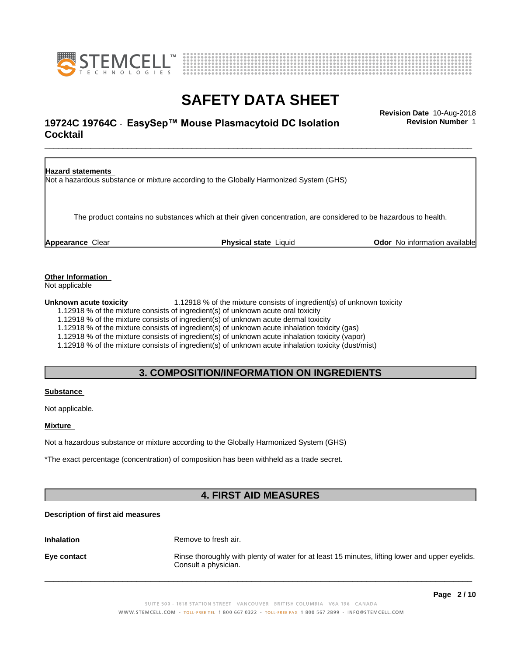



## \_\_\_\_\_\_\_\_\_\_\_\_\_\_\_\_\_\_\_\_\_\_\_\_\_\_\_\_\_\_\_\_\_\_\_\_\_\_\_\_\_\_\_\_\_\_\_\_\_\_\_\_\_\_\_\_\_\_\_\_\_\_\_\_\_\_\_\_\_\_\_\_\_\_\_\_\_\_\_\_\_\_\_\_\_\_\_\_\_\_\_\_\_ **Revision Date** 10-Aug-2018 **19724C 19764C** - EasySep™ Mouse Plasmacytoid DC Isolation Flevision Number 1 **Cocktail**

**Revision Number** 1

**Hazard statements** Not a hazardous substance or mixture according to the Globally Harmonized System (GHS) The product contains no substances which at their given concentration, are considered to be hazardous to health. **Appearance** Clear **Physical state** Liquid **Odor** No information available

**Other Information**

Not applicable

**Unknown acute toxicity** 1.12918 % of the mixture consists of ingredient(s) of unknown toxicity

1.12918 % of the mixture consists of ingredient(s) of unknown acute oral toxicity

1.12918 % of the mixture consists of ingredient(s) of unknown acute dermal toxicity

1.12918 % of the mixture consists of ingredient(s) ofunknown acute inhalation toxicity (gas)

1.12918 % of the mixture consists of ingredient(s) of unknown acute inhalation toxicity (vapor)

1.12918 % of the mixture consists of ingredient(s) of unknown acute inhalation toxicity (dust/mist)

## **3. COMPOSITION/INFORMATION ON INGREDIENTS**

### **Substance**

Not applicable.

### **Mixture**

Not a hazardous substance or mixture according to the Globally Harmonized System (GHS)

\*The exact percentage (concentration) of composition has been withheld as a trade secret.

## **4. FIRST AID MEASURES**

### **Description of first aid measures**

**Inhalation** Remove to fresh air.

**Eye contact Rinse thoroughly with plenty of water for at least 15 minutes, lifting lower and upper eyelids.** Consult a physician.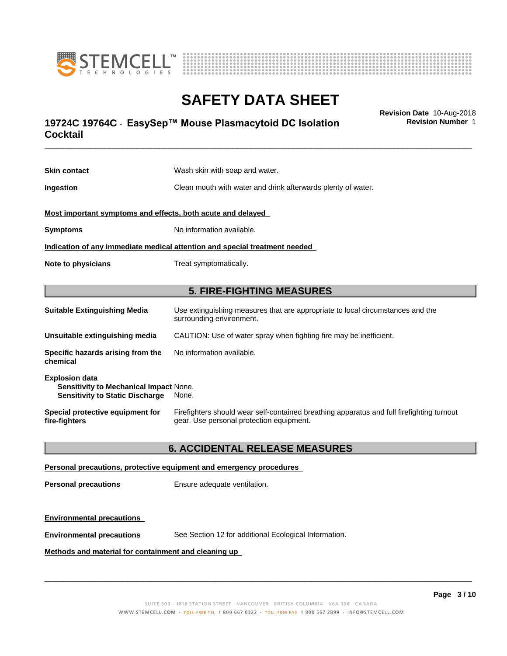



## \_\_\_\_\_\_\_\_\_\_\_\_\_\_\_\_\_\_\_\_\_\_\_\_\_\_\_\_\_\_\_\_\_\_\_\_\_\_\_\_\_\_\_\_\_\_\_\_\_\_\_\_\_\_\_\_\_\_\_\_\_\_\_\_\_\_\_\_\_\_\_\_\_\_\_\_\_\_\_\_\_\_\_\_\_\_\_\_\_\_\_\_\_ **Revision Date** 10-Aug-2018 **19724C 19764C** - EasySep™ Mouse Plasmacytoid DC Isolation Flevision Number 1 **Cocktail**

**Skin contact** Wash skin with soap and water. **Ingestion Clean mouth with water and drink afterwards plenty of water. Most important symptoms and effects, both acute and delayed Symptoms** No information available. **Indication of any immediate medical attention and special treatment needed Note to physicians** Treat symptomatically. **5. FIRE-FIGHTING MEASURES Suitable Extinguishing Media** Use extinguishing measures that are appropriate to local circumstances and the surrounding environment. **Unsuitable extinguishing media** CAUTION: Use of water spray when fighting fire may be inefficient. **Specific hazards arising from the chemical** No information available. **Explosion data Sensitivity to Mechanical Impact** None. **Sensitivity to Static Discharge** None.

**Special protective equipment for fire-fighters** Firefighters should wear self-contained breathing apparatus and full firefighting turnout gear. Use personal protection equipment.

## **6. ACCIDENTAL RELEASE MEASURES**

### **Personal precautions, protective equipment and emergency procedures**

**Personal precautions** Ensure adequate ventilation.

### **Environmental precautions**

**Environmental precautions** See Section 12 for additional Ecological Information.

### **Methods and material for containment and cleaning up**

 $\overline{\phantom{a}}$  ,  $\overline{\phantom{a}}$  ,  $\overline{\phantom{a}}$  ,  $\overline{\phantom{a}}$  ,  $\overline{\phantom{a}}$  ,  $\overline{\phantom{a}}$  ,  $\overline{\phantom{a}}$  ,  $\overline{\phantom{a}}$  ,  $\overline{\phantom{a}}$  ,  $\overline{\phantom{a}}$  ,  $\overline{\phantom{a}}$  ,  $\overline{\phantom{a}}$  ,  $\overline{\phantom{a}}$  ,  $\overline{\phantom{a}}$  ,  $\overline{\phantom{a}}$  ,  $\overline{\phantom{a}}$ 

**Revision Number** 1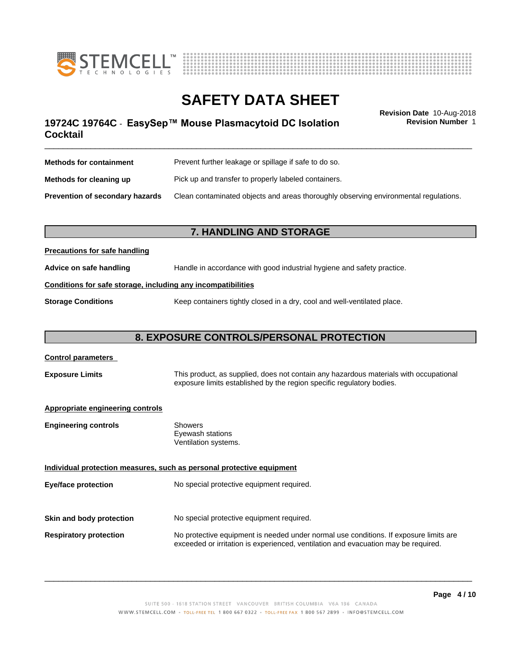



\_\_\_\_\_\_\_\_\_\_\_\_\_\_\_\_\_\_\_\_\_\_\_\_\_\_\_\_\_\_\_\_\_\_\_\_\_\_\_\_\_\_\_\_\_\_\_\_\_\_\_\_\_\_\_\_\_\_\_\_\_\_\_\_\_\_\_\_\_\_\_\_\_\_\_\_\_\_\_\_\_\_\_\_\_\_\_\_\_\_\_\_\_ **Revision Date** 10-Aug-2018 **19724C 19764C** - EasySep™ Mouse Plasmacytoid DC Isolation Flevision Number 1 **Cocktail**

**Revision Number** 1

| <b>Methods for containment</b>         | Prevent further leakage or spillage if safe to do so.                                |  |
|----------------------------------------|--------------------------------------------------------------------------------------|--|
| Methods for cleaning up                | Pick up and transfer to properly labeled containers.                                 |  |
| <b>Prevention of secondary hazards</b> | Clean contaminated objects and areas thoroughly observing environmental regulations. |  |

## **7. HANDLING AND STORAGE**

## **Precautions for safe handling**

**Advice on safe handling** Handle in accordance with good industrial hygiene and safety practice.

## **Conditions for safe storage, including any incompatibilities**

**Storage Conditions** Keep containers tightly closed in a dry, cool and well-ventilated place.

## **8. EXPOSURE CONTROLS/PERSONAL PROTECTION**

| <b>Control parameters</b>        |                                                                                                                                                                             |  |
|----------------------------------|-----------------------------------------------------------------------------------------------------------------------------------------------------------------------------|--|
| <b>Exposure Limits</b>           | This product, as supplied, does not contain any hazardous materials with occupational<br>exposure limits established by the region specific regulatory bodies.              |  |
| Appropriate engineering controls |                                                                                                                                                                             |  |
| <b>Engineering controls</b>      | <b>Showers</b><br>Eyewash stations<br>Ventilation systems.                                                                                                                  |  |
|                                  | Individual protection measures, such as personal protective equipment                                                                                                       |  |
| <b>Eye/face protection</b>       | No special protective equipment required.                                                                                                                                   |  |
|                                  |                                                                                                                                                                             |  |
| Skin and body protection         | No special protective equipment required.                                                                                                                                   |  |
| <b>Respiratory protection</b>    | No protective equipment is needed under normal use conditions. If exposure limits are<br>exceeded or irritation is experienced, ventilation and evacuation may be required. |  |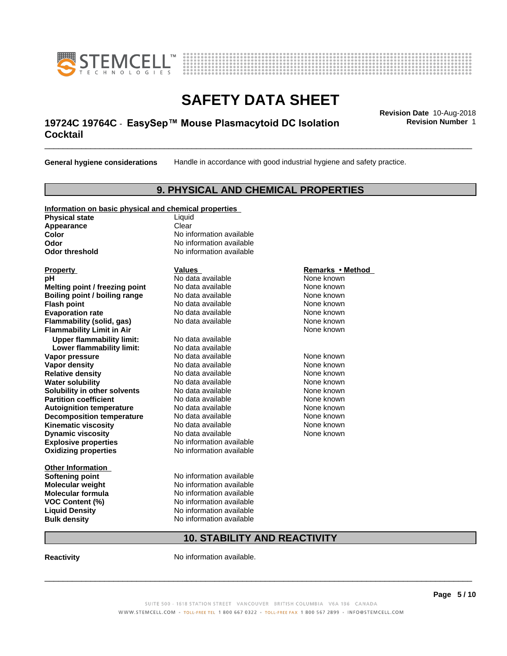



## \_\_\_\_\_\_\_\_\_\_\_\_\_\_\_\_\_\_\_\_\_\_\_\_\_\_\_\_\_\_\_\_\_\_\_\_\_\_\_\_\_\_\_\_\_\_\_\_\_\_\_\_\_\_\_\_\_\_\_\_\_\_\_\_\_\_\_\_\_\_\_\_\_\_\_\_\_\_\_\_\_\_\_\_\_\_\_\_\_\_\_\_\_ **Revision Date** 10-Aug-2018 **19724C 19764C** - EasySep™ Mouse Plasmacytoid DC Isolation Flevision Number 1 **Cocktail**

**General hygiene considerations** Handle in accordance with good industrial hygiene and safety practice.

## **9. PHYSICAL AND CHEMICAL PROPERTIES**

### **Information on basic physical and chemical properties**

**Physical state** Liquid **Appearance** Clear<br> **Color** No inf

**Explosive properties**<br> **Oxidizing properties**<br>
No information available **Oxidizing properties Property Remarks •Method Property Remarks •Method pH** No data available None known<br> **Melting point / freezing point** No data available None known **Melting point / freezing point** No data available None known<br> **Boiling point / boiling range** No data available None known **Boiling point / boiling range Flash point No data available None known Evaporation rate** *rate* No data available **None known Flammability (solid, gas)** No data available None known **Flammability Limit in Air None known None known Upper flammability limit:** No data available **Lower flammability limit:** No data available **Vapor pressure No data available None known Vapor density No data available and the None known**<br> **Relative density No data available None known**<br>
No data available **Relative density No data available and the Shown None known**<br> **Water solubility No data available None known None known Water solubility Solubility in other solvents** No data available **None known**<br> **Partition coefficient** No data available **None known**<br>
None known **Partition coefficient**<br> **Autoignition temperature**<br>
No data available **Autoignition temperature No data available None known**<br> **Decomposition temperature** No data available **None known**<br>
None known **Decomposition temperature** No data available<br> **Kinematic viscosity** No data available **Kinematic viscosity No data available None known**<br> **Notata available None known**<br>
Notata available **None known Dynamic viscosity No data available None known** 

**Other Information Softening point** No information available **VOC** Content (%)

**No information available Odor** No information available **Odor threshold** No information available

**Molecular weight** No information available **Molecular formula No information available**<br>**VOC Content (%)** No information available **Liquid Density** No information available **Bulk density** No information available

## **10. STABILITY AND REACTIVITY**

**Reactivity No information available.** 

 $\overline{\phantom{a}}$  ,  $\overline{\phantom{a}}$  ,  $\overline{\phantom{a}}$  ,  $\overline{\phantom{a}}$  ,  $\overline{\phantom{a}}$  ,  $\overline{\phantom{a}}$  ,  $\overline{\phantom{a}}$  ,  $\overline{\phantom{a}}$  ,  $\overline{\phantom{a}}$  ,  $\overline{\phantom{a}}$  ,  $\overline{\phantom{a}}$  ,  $\overline{\phantom{a}}$  ,  $\overline{\phantom{a}}$  ,  $\overline{\phantom{a}}$  ,  $\overline{\phantom{a}}$  ,  $\overline{\phantom{a}}$ 

**Revision Number** 1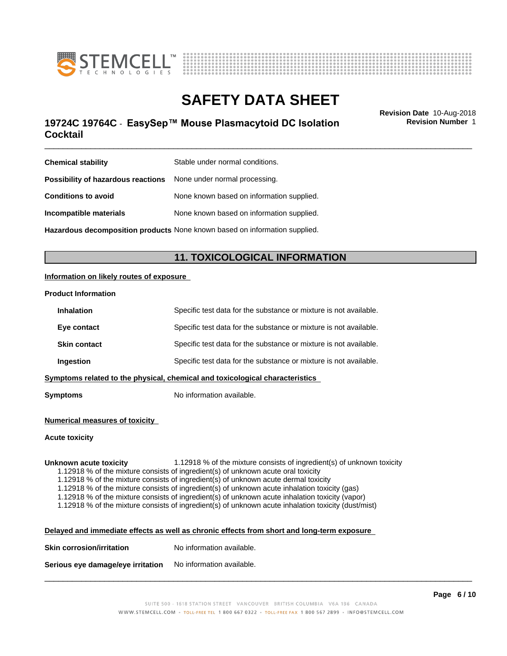



## \_\_\_\_\_\_\_\_\_\_\_\_\_\_\_\_\_\_\_\_\_\_\_\_\_\_\_\_\_\_\_\_\_\_\_\_\_\_\_\_\_\_\_\_\_\_\_\_\_\_\_\_\_\_\_\_\_\_\_\_\_\_\_\_\_\_\_\_\_\_\_\_\_\_\_\_\_\_\_\_\_\_\_\_\_\_\_\_\_\_\_\_\_ **Revision Date** 10-Aug-2018 **19724C 19764C** - EasySep™ Mouse Plasmacytoid DC Isolation Flevision Number 1 **Cocktail**

**Revision Number** 1

| <b>Chemical stability</b>                                                  | Stable under normal conditions.           |  |
|----------------------------------------------------------------------------|-------------------------------------------|--|
| <b>Possibility of hazardous reactions</b> None under normal processing.    |                                           |  |
| <b>Conditions to avoid</b>                                                 | None known based on information supplied. |  |
| Incompatible materials                                                     | None known based on information supplied. |  |
| Hazardous decomposition products None known based on information supplied. |                                           |  |

## **11. TOXICOLOGICAL INFORMATION**

### **Information on likely routes of exposure**

### **Product Information**

| <b>Inhalation</b>                                                            | Specific test data for the substance or mixture is not available. |  |
|------------------------------------------------------------------------------|-------------------------------------------------------------------|--|
| Eye contact                                                                  | Specific test data for the substance or mixture is not available. |  |
| <b>Skin contact</b>                                                          | Specific test data for the substance or mixture is not available. |  |
| Ingestion                                                                    | Specific test data for the substance or mixture is not available. |  |
| Symptoms related to the physical, chemical and toxicological characteristics |                                                                   |  |

**Symptoms** No information available.

### **Numerical measures of toxicity**

### **Acute toxicity**

**Unknown acute toxicity** 1.12918 % of the mixture consists of ingredient(s) of unknown toxicity

1.12918 % of the mixture consists of ingredient(s) of unknown acute oral toxicity

1.12918 % of the mixture consists of ingredient(s) of unknown acute dermal toxicity

1.12918 % of the mixture consists of ingredient(s) of unknown acute inhalation toxicity (gas)

1.12918 % of the mixture consists of ingredient(s) of unknown acute inhalation toxicity (vapor)

1.12918 % of the mixture consists of ingredient(s) of unknown acute inhalation toxicity (dust/mist)

**Delayed and immediate effects as well as chronic effects from short and long-term exposure**

| <b>Skin corrosion/irritation</b> | No information available. |  |
|----------------------------------|---------------------------|--|
|                                  |                           |  |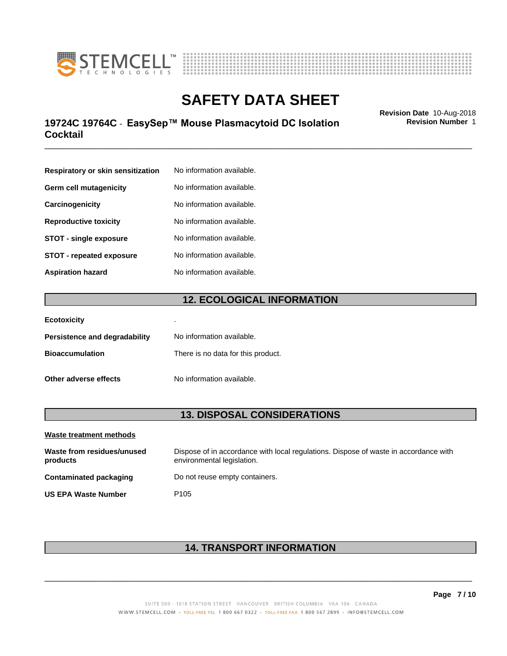



## \_\_\_\_\_\_\_\_\_\_\_\_\_\_\_\_\_\_\_\_\_\_\_\_\_\_\_\_\_\_\_\_\_\_\_\_\_\_\_\_\_\_\_\_\_\_\_\_\_\_\_\_\_\_\_\_\_\_\_\_\_\_\_\_\_\_\_\_\_\_\_\_\_\_\_\_\_\_\_\_\_\_\_\_\_\_\_\_\_\_\_\_\_ **Revision Date** 10-Aug-2018 **19724C 19764C** - EasySep™ Mouse Plasmacytoid DC Isolation Flevision Number 1 **Cocktail**

**Revision Number** 1

| Respiratory or skin sensitization | No information available. |
|-----------------------------------|---------------------------|
| Germ cell mutagenicity            | No information available. |
| Carcinogenicity                   | No information available. |
| <b>Reproductive toxicity</b>      | No information available. |
| <b>STOT - single exposure</b>     | No information available. |
| STOT - repeated exposure          | No information available. |
| Aspiration hazard                 | No information available. |

## **12. ECOLOGICAL INFORMATION**

| <b>Ecotoxicity</b>            | ٠                                  |
|-------------------------------|------------------------------------|
| Persistence and degradability | No information available.          |
| <b>Bioaccumulation</b>        | There is no data for this product. |
| Other adverse effects         | No information available.          |

## **13. DISPOSAL CONSIDERATIONS**

| Waste treatment methods                |                                                                                                                    |  |
|----------------------------------------|--------------------------------------------------------------------------------------------------------------------|--|
| Waste from residues/unused<br>products | Dispose of in accordance with local regulations. Dispose of waste in accordance with<br>environmental legislation. |  |
| Contaminated packaging                 | Do not reuse empty containers.                                                                                     |  |
| <b>US EPA Waste Number</b>             | P <sub>105</sub>                                                                                                   |  |

## **14. TRANSPORT INFORMATION**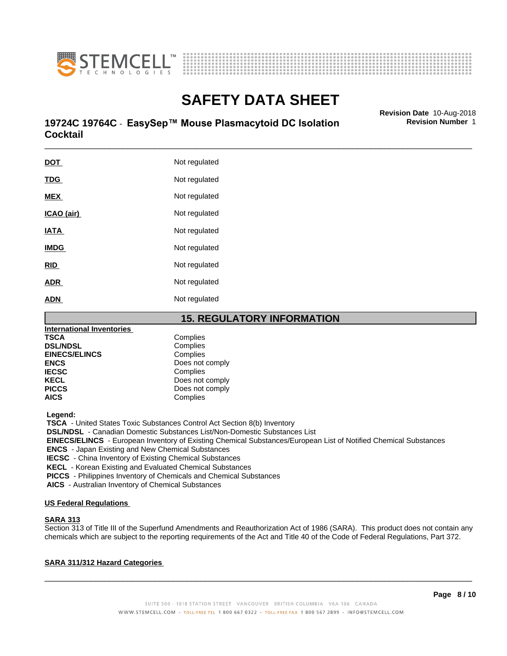



## \_\_\_\_\_\_\_\_\_\_\_\_\_\_\_\_\_\_\_\_\_\_\_\_\_\_\_\_\_\_\_\_\_\_\_\_\_\_\_\_\_\_\_\_\_\_\_\_\_\_\_\_\_\_\_\_\_\_\_\_\_\_\_\_\_\_\_\_\_\_\_\_\_\_\_\_\_\_\_\_\_\_\_\_\_\_\_\_\_\_\_\_\_ **Revision Date** 10-Aug-2018 **19724C 19764C** - EasySep™ Mouse Plasmacytoid DC Isolation Flevision Number 1 **Cocktail**

DOT Not regulated **TDG** Not regulated **MEX** Not regulated **ICAO** (air) Not regulated **IATA** Not regulated **IMDG** Not regulated **RID** Not regulated **ADR** Not regulated ADN Not regulated

## **15. REGULATORY INFORMATION**

| <b>International Inventories</b> |                 |  |
|----------------------------------|-----------------|--|
| TSCA                             | Complies        |  |
| <b>DSL/NDSL</b>                  | Complies        |  |
| <b>EINECS/ELINCS</b>             | Complies        |  |
| <b>ENCS</b>                      | Does not comply |  |
| IECSC                            | Complies        |  |
| <b>KECL</b>                      | Does not comply |  |
| <b>PICCS</b>                     | Does not comply |  |
| AICS                             | Complies        |  |
|                                  |                 |  |

 **Legend:**

 **TSCA** - United States Toxic Substances Control Act Section 8(b) Inventory

 **DSL/NDSL** - Canadian Domestic Substances List/Non-Domestic Substances List

 **EINECS/ELINCS** - European Inventory of Existing Chemical Substances/European List of Notified Chemical Substances

 **ENCS** - Japan Existing and New Chemical Substances

 **IECSC** - China Inventory of Existing Chemical Substances

 **KECL** - Korean Existing and Evaluated Chemical Substances

 **PICCS** - Philippines Inventory of Chemicals and Chemical Substances

 **AICS** - Australian Inventory of Chemical Substances

### **US Federal Regulations**

### **SARA 313**

Section 313 of Title III of the Superfund Amendments and Reauthorization Act of 1986 (SARA). This product does not contain any chemicals which are subject to the reporting requirements of the Act and Title 40 of the Code of Federal Regulations, Part 372.

## **SARA 311/312 Hazard Categories**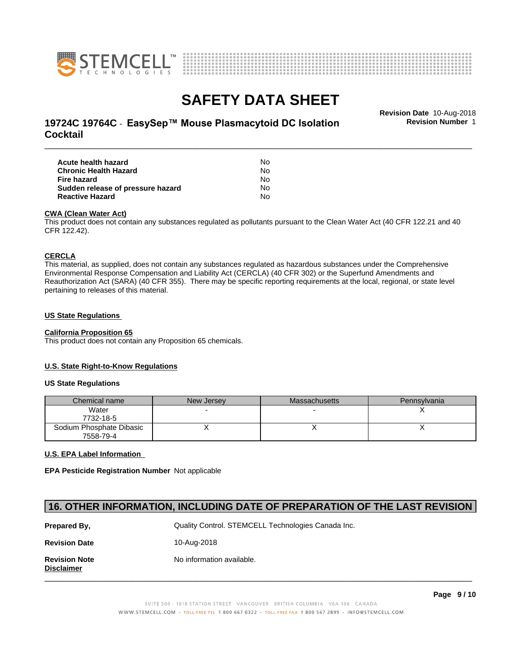



## \_\_\_\_\_\_\_\_\_\_\_\_\_\_\_\_\_\_\_\_\_\_\_\_\_\_\_\_\_\_\_\_\_\_\_\_\_\_\_\_\_\_\_\_\_\_\_\_\_\_\_\_\_\_\_\_\_\_\_\_\_\_\_\_\_\_\_\_\_\_\_\_\_\_\_\_\_\_\_\_\_\_\_\_\_\_\_\_\_\_\_\_\_ **Revision Date** 10-Aug-2018 **19724C 19764C** - EasySep™ Mouse Plasmacytoid DC Isolation Flevision Number 1 **Cocktail**

**Revision Number** 1

| Acute health hazard               | No. |  |
|-----------------------------------|-----|--|
| Chronic Health Hazard             | No. |  |
| Fire hazard                       | No. |  |
| Sudden release of pressure hazard | No. |  |
| <b>Reactive Hazard</b>            | N٥  |  |

### **CWA** (Clean Water Act)

This product does not contain any substances regulated as pollutants pursuant to the Clean Water Act (40 CFR 122.21 and 40 CFR 122.42).

### **CERCLA**

This material, as supplied, does not contain any substances regulated as hazardous substances under the Comprehensive Environmental Response Compensation and Liability Act (CERCLA) (40 CFR 302) or the Superfund Amendments and Reauthorization Act (SARA) (40 CFR 355). There may be specific reporting requirements at the local, regional, or state level pertaining to releases of this material.

### **US State Regulations**

## **California Proposition 65**

This product does not contain any Proposition 65 chemicals.

### **U.S. State Right-to-Know Regulations**

### **US State Regulations**

| Chemical name            | New Jersey | Massachusetts | <b>Pennsylvania</b> |
|--------------------------|------------|---------------|---------------------|
| Water                    |            |               |                     |
| 7732-18-5                |            |               |                     |
| Sodium Phosphate Dibasic |            |               |                     |
| 7558-79-4                |            |               |                     |

### **U.S. EPA Label Information**

**EPA Pesticide Registration Number** Not applicable

## **16. OTHER INFORMATION, INCLUDING DATE OF PREPARATION OF THE LAST REVISION**

| Prepared By,                              | Quality Control. STEMCELL Technologies Canada Inc. |
|-------------------------------------------|----------------------------------------------------|
| <b>Revision Date</b>                      | 10-Aug-2018                                        |
| <b>Revision Note</b><br><b>Disclaimer</b> | No information available.                          |